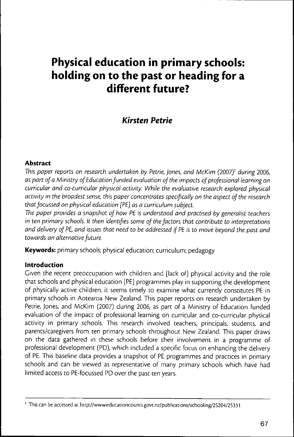# **Physical education in primary schools: holding on to the past or heading for a different future?**

## **Kirsten Pétrie**

## **Abstract**

This paper reports on research undertaken by Petrie, Jones, and McKim (2007)<sup>1</sup> during 2006, as part of a Ministry of Education funded evaluation of the impacts of professional learning on curricular and co-curricular physical activity. While the evaluative research explored physical activity in the broadest sense, this paper concentrates specifically on the aspect of the research that focussed on physical education [PE] as a curriculum subject.

The paper provides a snapshot of how PE is understood and practised by generalist teachers in ten primary schools. It then identifies some of the factors that contribute to interpretations and delivery of PE, and issues that need to be addressed if PE is to move beyond the past and towards an alternative future.

**Keywords:** primary schools; physical education; curriculum; pedagogy

## **Introduction**

Given the recent preoccupation with children and [lack of] physical activity and the role that schools and physical education [PE] programmes play in supporting the developmenc of physically active children, it seems timely to examine what currently constitutes PE in primary schools in Aotearoa New Zealand. This paper reports on research undertaken by Petrie, Jones, and McKim (2007) during 2006, as part of a Ministry of Education funded evaluation of the impact of professional learning on curricular and co-curricular physical activity in primary schools. This research involved teachers, principals, students, and parents/caregivers from ten primary schools throughout New Zealand. This paper draws on the data gathered in these schools before their involvement in a programme of professional development (PD), which included a specific focus on enhancing the delivery of PE. This baseline data provides a snapshot of PE programmes and practices in primary schools and can be viewed as representative of many primary schools which have had limited access to PE-focussed PD over the past ten years.

<sup>&</sup>lt;sup>1</sup> This can be accessed at http://www.educationcounts.govt.nz/publications/schooling/25204/25331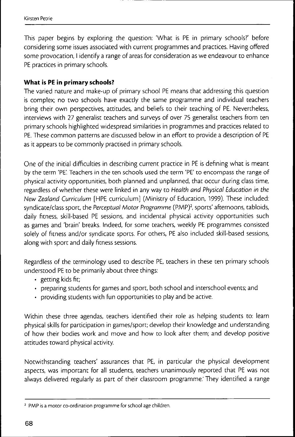This paper begins by exploring the question: 'What is PE in primary schools?' before considering some issues associated with current programmes and practices. Having offered some provocation, I identify a range of areas for consideration as we endeavour to enhance PE practices in primary schools.

## **What is PE in primary schools?**

The varied nature and make-up of primary school PE means that addressing this question is complex; no two schools have exactly the same programme and individual teachers bring their own perspectives, attitudes, and beliefs to their teaching of PE, Nevertheless, interviews with 27 generalist teachers and surveys of over 75 generalist teachers from ten primary schools highlighted widespread similarities in programmes and practices related to PE. These common patterns are discussed below in an effort to provide a description of PE as it appears to be commonly practised in primary schools.

One of the initial difficulties in describing current practice in PE is defining what is meant by the term 'PE', Teachers in the ten schools used the term 'PE' to encompass the range of physical activity opportunities, both planned and unplanned, that occur during class time, regardless of whether these were linked in any way to Health and Physical Education in the New Zealand Curriculum [HPE curriculum] (Ministry of Education, 1999). These included: syndicate/class sport, the Perceptual Motor Programme (PMP)<sup>2</sup>, sports' afternoons, tabloids, daily ñtness, skill-based PE sessions, and incidental physical activity opportunities such as games and 'brain' breaks. Indeed, for some teachers, weekly PE programmes consisted solely of fitness and/or syndicate sports. For others, PE also included skill-based sessions, along with sport and daily fitness sessions.

Regardless of the terminology used to describe PE, teachers in these ten primary schools understood PE to be primarily about three things:

- getting kids fit;
- preparing students for games and sport, both school and interschool events; and
- providing students with fun opportunities to play and be active.

Within these three agendas, teachers identified their role as helping students to: learn physical skills for participation in games/sport; develop their knowledge and understanding of how their bodies work and move and how to look after them; and develop positive attitudes toward physical activity.

Notwithstanding teachers' assurances that PE, in particular the physical development aspects, was important for all students, teachers unanimously reported that PE was not always delivered regularly as part of their classroom programme. They identified a range

<sup>&</sup>lt;sup>2</sup> PMP is a motor co-ordination programme for school age children.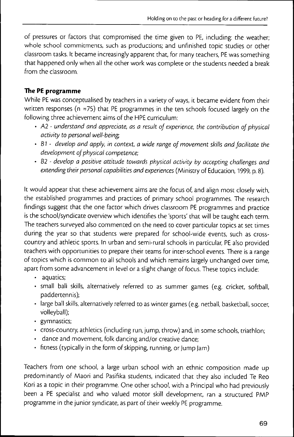of pressures or factors that compromised the time given to PE, including: the weather; whole school commitments, such as productions; and unfinished topic studies or other classroom casks. Ic became increasingly apparenc chac, for many ceachers, PE was something chac happened only when all the ocher work was complete or che students needed a break from the classroom.

## **The PE programme**

While PE was conceptualised by ceachers in a variecy of ways, ic became evidenc from cheir written responses (n =75) that PE programmes in the ten schools focused largely on the following three achievement aims of che HPE curriculum:

- A2 understand and appreciate, as a result of experience, the contribution of physical activity to personal well-being;
- 67 develop and apply, in context, a wide range of movement skills and facilitate the development of physical competence;
- B2 develop a positive attitude towards physical activity by accepting challenges and extending their personal capabilities and experiences (Ministry of Education, 1999, p. 8).

Ic would appear chac chese achievemenc aims are che focus of, and align mosc closely wich, the established programmes and praccices of primary school programmes. The research findings suggesc chac che one faccor which drives classroom PE programmes and praccice is the school/syndicate overview which identifies the 'sports' that will be taught each term. The ceachers surveyed also commented on the need to cover particular topics at set times during the year so that students were prepared for school-wide events, such as crosscouncry and achlecic spores. In urban and semi-rural schools in parcicular, PE also provided ceachers wich opporcunicies to prepare their teams for inter-school events. There is a range of topics which is common to all schools and which remains largely unchanged over time, apart from some advancement in level or a slight change of focus. These topics include:

- aquatics;
- small ball skills, alternatively referred to as summer games (e.g. cricket, Softball, paddertennis);
- large ball skills, alternatively referred to as winter games (e.g. netball, basketball, soccer, volleyball);
- gymnastics;
- cross-country, athletics (including run, jump, throw) and, in some schools, triathlon;
- dance and movement, folk dancing and/or creative dance;
- fitness (typically in the form of skipping, running, or Jump Jam)

Teachers from one school, a large urban school with an ethnic composition made up predominancly of Maori and Pasifika scudents, indicated chac chey also included Te Reo Kori as a topic in their programme. One other school, with a Principal who had previously been a PE specialist and who valued motor skill development, ran a structured PMP programme in the junior syndicate, as part of their weekly PE programme.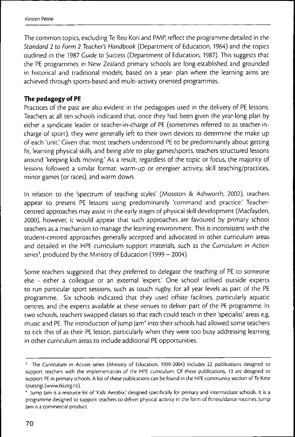The common topics, excluding Te Reo Kori and PMP, reflect the programme detailed in the Standard 2 to Form 2 Teacher's Handbook (Department of Education, 1964) and the topics outlined in the 1987 Guide to Success (Department of Education, 1987). This suggests that the PE programmes in New Zealand primary schools are long-established and grounded in historical and traditional models, based on a year- plan where the learning aims are achieved through sports-based and multi-activity oriented programmes.

#### **The pedagogy of PE**

Practices of the past are also evident in the pedagogies used in the delivery of PE lessons. Teachers at all ten schools indicated that, once they had been given the year-long plan by either a syndicate leader or teacher-in-charge of PE (sometimes referred to as teacher-incharge of sport), they were generally left to their own devices to determine the make up of each 'unit.' Given that most teachers understood PE to be predominantly about getting fit, learning physical skills, and being able to play games/sports, teachers structured lessons around 'keeping kids moving.' As a result, regardless of the topic or focus, the majority of lessons followed a similar format: warm-up or energiser activity, skill teaching/practices, minor games (or races), and warm down.

In relation to the 'spectrum of teaching styles' (Mosston & Ashworth, 2002), teachers appear to present PE lessons using predominantly 'command and practice.' Teachercentred approaches may assist in the early stages of physical skill development (Macfayden, 2000), however, it would appear that such approaches are favoured by primary school teachers as a mechanism to manage the learning environment. This is inconsistent with the student-centred approaches generally accepted and advocated in other curriculum areas and detailed in the HPE curriculum support materials, such as the Curriculum in Action series<sup>3</sup>, produced by the Ministry of Education (1999 - 2004).

Some teachers suggested that they preferred to delegate the teaching of PE to someone else - either a colleague or an external 'expert.' One school utilised outside experts to run particular sport sessions, such as touch rugby, for all year levels as part of the PE programme. Six schools indicated that they used ofîsite facilities, particularly aquatic centres, and the experts available at these venues to deliver part of the PE programme. In two schools, teachers swapped classes so that each could teach in their 'specialist' areas e.g. music and PE. The introduction of Jump Jam'' into their schools had allowed some teachers to tick this of as their PE lesson, particularly when they were too busy addressing learning in other curriculum areas to include additional PE opportunities.

<sup>&</sup>lt;sup>3</sup> The Curriculum in Action series (Ministry of Education, 1999-2004) includes 22 publications designed to support teachers with the implementation of the HPE curriculum. Of these publications, 13 are designed to support PE in primary schools. A list of these publications can be found in the HPE community section of Te Kete Ipurangi (www.tki.0rg.n2).

<sup>&</sup>quot; Jump jam is a resource kit of 'Kidz Aerobix,' designed specifically for primary and intermediate schools. It is a programme designed to support teachers to deliver physical activity in the form of fitness/dance routines. Jump Jam is a commercial product.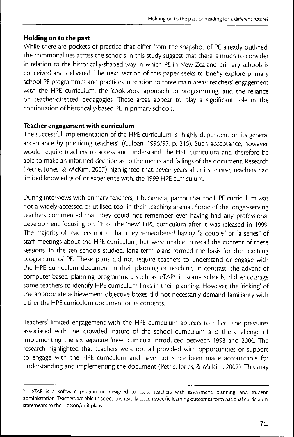## **Holding on to the past**

While there are pockets of practice that differ from the snapshot of PE already outlined, the commonalities across the schools in this study suggest that there is much to consider in relation to the historically-shaped way in which PE in New Zealand primary schools is conceived and delivered. The next section of this paper seeks to briefly explore primary school PE programmes and practices in relation to three main areas: teachers' engagement with the HPE curriculum; the 'cookbook' approach to programming; and the reliance on teacher-directed pedagogies. These areas appear to play a significant role in the continuation of historically-based PE in primary schools.

#### **Teacher engagement with curriculum**

The successful implementation of the HPE curriculum is "highly dependent on its general acceptance by practicing teachers" (Culpan, 1996/97, p. 216). Such acceptance, however, would require teachers to access and understand the HPE curriculum and therefore be able to make an informed decision as to the merits and failings of the document. Research (Pétrie, Jones, & McKim, 2007) highlighted that, seven years after its release, teachers had limited knowledge of, or experience with, the 1999 HPE curriculum.

During interviews with primary teachers, it became apparent that the HPE curriculum was not a widely-accessed or utilised tool in their teaching arsenal. Some of the longer-serving teachers commented that they could not remember ever having had any professional development focusing on PE or the 'new' HPE curriculum after it was released in 1999. The majority of teachers noted that they remembered having "a couple" or "a series" of staff meetings about the HPE curriculum, but were unable to recall the content of these sessions. In the ten schools studied, long-term plans formed the basis for the teaching programme of PE. These plans did not require teachers to understand or engage with the HPE curriculum document in their planning or teaching. In contrast, the advent of computer-based planning programmes, such as eTAP<sup>5</sup> in some schools, did encourage some teachers to identify HPE curriculum links in their planning. However, the 'ticking' of the appropriate achievement objective boxes did not necessarily demand familiarity with either the HPE curriculum document or its contents.

Teachers' limited engagement with the HPE curriculum appears to reflect the pressures associated with the 'crowded' nature of the school curriculum and the challenge of implementing the six separate 'new' curricula introduced between 1993 and 2000. The research highlighted that teachers were not all provided with opportunities or support to engage with the HPE curriculum and have not since been made accountable for understanding and implementing the document (Petrie, Jones, & McKim, 2007). This may

<sup>&</sup>lt;sup>5</sup> eTAP is a software programme designed to assist teachers with assessment, planning, and student administration. Teachers are able to select and readily attach specific learning outcomes form national curriculum statements to their lesson/unit plans.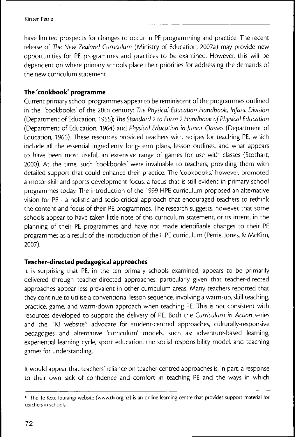have limited prospects for changes co occur in PE programming and praccice. The recenc release of The New Zealand Curriculum (Ministry of Education, 2007a) may provide new opporcunicies for PE programmes and praccices co be examined. However, chis will be dependent on where primary schools place their priorities for addressing the demands of che new curriculum scacemenc.

## **The 'cookbook' programme**

Current primary school programmes appear to be reminiscent of the programmes outlined in che 'cookbooks' of che 20ch cencury: The Physical Education Handbook, Infant Division (Deparcmenc of Educación, 1955); The Standard 2 to Form 2 Handbook of Physical Education (Department of Education, 1964) and Physical Education in Junior Classes (Department of Education, 1966). These resources provided teachers with recipes for teaching PE, which include all che essencial ingrediencs: long-cerm plans, lesson ouclines, and whac appears to have been most useful, an extensive range of games for use with classes (Stothart, 2000). Ac che cime, such 'cookbooks' were invaluable co ceachers, providing chem wich decailed supporc chac could enhance cheir practice. The 'cookbooks,' however, promoted a motor-skill and sports development focus, a focus that is still evident in primary school programmes coday. The incroduccion of che 1999 HPE curriculum proposed an alcernacive vision for PE - a holistic and socio-critical approach that encouraged teachers to rethink che concenc and focus of cheir PE programmes. The research suggescs, however, chac some schools appear to have taken little note of this curriculum statement, or its intent, in the planning of cheir PE programmes and have noc made idencifiable changes co cheir PE programmes as a result of the introduction of the HPE curriculum (Petrie, Jones, & McKim, 2007).

## **Teacher-directed pedagogical approaches**

Ic is surprising chac PE, in che cen primary schools examined, appears co be primarily delivered through teacher-directed approaches, particularly given that teacher-directed approaches appear less prevalent in other curriculum areas. Many teachers reported that chey concinue co ucilise a convencional lesson sequence, involving a warm-up, skill ceaching, practice, game, and warm-down approach when teaching PE. This is not consistent with resources developed co supporc che delivery of PE. Boch che Curriculum in Action series and the TKI website<sup>6</sup>, advocate for student-centred approaches, culturally-responsive pedagogies and alternative 'curriculum' models, such as: adventure-based learning, experiential learning cycle, sport education, the social responsibility model, and teaching games for underscanding.

It would appear that teachers' reliance on teacher-centred approaches is, in part, a response to their own lack of confidence and comfort in teaching PE and the ways in which

<sup>&#</sup>x27; The Te Kete Ipurangi website (www.tki.org.nz) is an online learning centre chat provides support material for teachers in schools.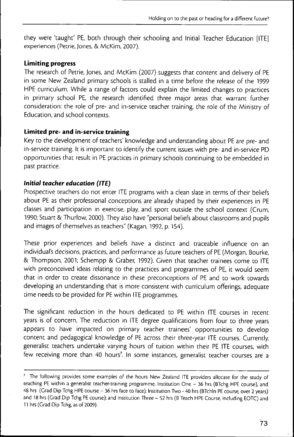chey were 'taught' PE, both through their schooling and Initial Teacher Education [ITE] experiences (Pecrie, Jones, & McKim, 2007),

### **Limiting progress**

The research of Pecrie, Jones, and McKim (2007) suggests that concent and delivery of PE in some New Zealand primary schools is stalled in a time before the release of the 1999 HPE curriculum. While a range of factors could explain the limited changes to practices in primary school PE, the research identified three major areas that warrant further consideration: the role of pre- and in-service teacher training, the role of the Ministry of Education, and school contexts.

## **Limited pre- and in-service training**

Key to the development of teachers' knowledge and understanding about PE are pre- and in-service training. It is important to identify the current issues with pre- and in-service PD opportunities that result in PE practices in primary schools continuing to be embedded in past practice.

## **Initial teacher education (ITE)**

Prospective teachers do not enter ITE programs with a clean slate in terms of their beliefs about PE as their professional conceptions are already shaped by their experiences in PE classes and participation in exercise, play, and sport outside the school context (Crum, 1990; Stuart & Thurlow, 2000), They also have "personal beliefs about classrooms and pupils and images of themselves as teachers" (Kagan, 1992, p, 154),

These prior experiences and beliefs have a distinct and traceable influence on an individual's decisions, practices, and performance as future teachers of PE (Morgan, Bourke, & Thompson, 2001; Schempp & Craber, 1992), Given that teacher trainees come to ITE with preconceived ideas relating to the practices and programmes of PE, it would seem that in order to create dissonance in these preconceptions of PE and to work towards developing an understanding that is more consistent with curriculum offerings, adequate time needs to be provided for PE within ITE programmes.

The significant reduction in the hours dedicated to PE within ITE courses in recent years is of concern. The reduction in ITE degree qualifications from four to three years appears to have impacted on primary teacher trainees' opportunities to develop content and pedagogical knowledge of PE across their three-year ITE courses. Currently, generalist teachers undertake varying hours of tuition within their PE ITE courses, with few receiving more than 40 hours'. In some instances, generalist teacher courses are a

<sup>&#</sup>x27; The following provides some examples of the hours New Zealand ITE providers allocate for the study of teaching PE within a generalist teacher-training programme. Institution One - 36 hrs (BTchg HPE course), and 48 hrs (Crad Dip Tchg HPE course - 36 hrs face to face); Institution Two - 40 hrs (BTchIn PE course, over 2 years) and 18 hrs (Grad Dip Tchg PE course); and Institution Three - 52 hrs (B Teach HPE Course, including EOTC) and 11 hrs (Grad Dip Tchg, as of 2009).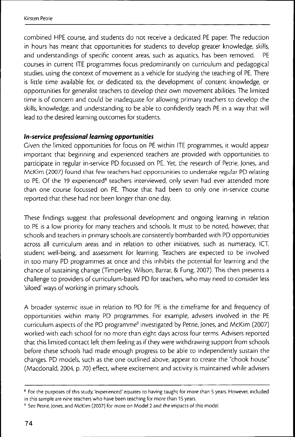combined HPE course, and students do noc receive a dedicaced PE paper. The reducción in hours has meant that opportunities for students to develop greater knowledge, skills, and understandings of specific content areas, such as aquatics, has been removed. PE courses in current ITE programmes focus predominantly on curriculum and pedagogical studies, using the context of movement as a vehicle for studying the teaching of PE. There is little time available for, or dedicated to, the development of content knowledge, or opporcunicies for generalise ceachers co develop cheir own movemenc abilicies. The limiced cime is of concern and could be inadequace for allowing primary ceachers co develop che skills, knowledge, and underscanding co be able co confidencly ceach PE in a way chac will lead to the desired learning outcomes for students.

## **In-service professional learning opportunities**

Given che limiced opporcunicies for focus on PE wichin ITE programmes, ic would appear imporcanc chac beginning and experienced ceachers are provided wich opporcunicies co participate in regular in-service PD focussed on PE. Yet, the research of Petrie, Jones, and McKim (2007) found that few teachers had opportunities to undertake regular PD relating to PE. Of the 19 experienced<sup>8</sup> teachers interviewed, only seven had ever attended more chan one course focussed on PE. Those chac had been co only one in-service course reported that these had not been longer than one day.

These findings suggest that professional development and ongoing learning in relation to PE is a low priority for many teachers and schools. It must to be noted, however, that schools and teachers in primary schools are consistently bombarded with PD opportunities across all curriculum areas and in relation to other initiatives, such as numeracy, ICT, student well-being, and assessment for learning. Teachers are expected to be involved in coo many PD programmes ac once and chis inhibics che pocencial for learning and che chance of suscaining change (Timperley, Wilson, Barrar, & Fung, 2007). This chen presencs a challenge co providers of curriculum-based PD for ceachers, who may need co consider less 'siloed' ways of working in primary schools.

A broader systemic issue in relation to PD for PE is the timeframe for and frequency of opporcunicies wichin many PD programmes. For example, advisers involved in che PE curriculum aspects of the PD programme<sup>9</sup> investigated by Petrie, Jones, and McKim (2007) worked wich each school for no more chan eighc days across four cerms. Advisers reporced chac chis limiced concacc lefc chem feeling as if chey were wichdrawing supporc from schools before chese schools had made enough progress co be able co independencly suscain che changes. PD models, such as the one outlined above, appear to create the "chook house" (Macdonald, 2004, p. 70) effecc, where excicemenc and accivicy is maincained while advisers

<sup>&#</sup>x27; For the purposes of this study, 'experienced' equates to having taught for more than 5 years. However, included in this sample are nine teachers who have been teaching for more than 15 years.

<sup>&</sup>lt;sup>9</sup> See Petrie, Jones, and McKim (2007) for more on Model 2 and the impacts of this model.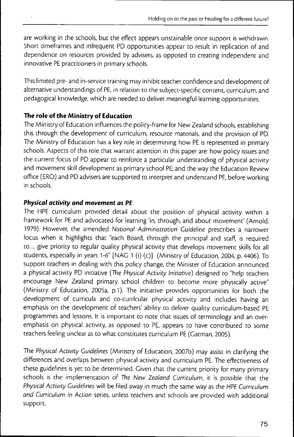are working in the schools, but the effect appears unstainable once support is withdrawn. Short timeframes and infrequent PD opportunities appear to result in replication of and dependence on resources provided by advisers, as opposed to creating independent and innovative PE practitioners in primary schools.

This limited pre- and in-service training may inhibit teacher confidence and development of alternative understandings of PE, in relation to the subject-specific content, curriculum, and pedagogical knowledge, which are needed to deliver meaningful learning opportunities.

## **The role ofthe Ministry of Education**

The Ministry of Education influences the policy-frame for New Zealand schools, establishing this through the development of curriculum, resource materials, and the provision of PD. The Ministry of Education has a key role in determining how PE is represented in primary schools. Aspects of this role that warrant attention in this paper are: how policy issues and the current focus of PD appear to reinforce a particular understanding of physical activity and movement skill development as primary school PE; and the way the Education Review office (ERO) and PD advisers are supported to interpret and understand PE, before working in schools.

## **Physical activity and movement as PE**

The HPE curriculum provided detail about the position of physical activity within a framework for PE and advocated for learning 'in, through, and about movement' (Arnold, 1979). However, the amended National Administration Guideline prescribes a narrower focus when it highlights that "each Board, through the principal and staff, is required to... give priority to regular quality physical activity that develops movement skills for all students, especially in years 1-6" [NAG 1 (i) (c)] (Ministry of Education, 2004, p. 4406). To support teachers in dealing with this policy change, the Minister of Education announced a physical activity PD initiative {The Physical Activity Initiative) designed to "help teachers encourage New Zealand primary school children to become more physically active" (Ministry of Education, 2005a, p.1). The initiative provides opportunities for both the development of curricula and co-currfcular physical activity and includes having an emphasis on the development of teachers' ability to deliver quality curriculum-based PE programmes and lessons. It is important to note that issues of terminology and an overemphasis on physical activity, as opposed to PE, appears to have contributed to some teachers feeling unclear as to what constitutes curriculum PE (Gatman, 2005).

The Physical Activity Guidelines (Ministry of Education, 2007b) may assist in clarifying the differences and overlaps between physical activity and curriculum PE. The effectiveness of these guidelines is yet to be determined. Given that the current priority for many primary schools is the implementation of The New Zealand Gurriculum, it is possible that the Physical Activity Guidelines will be filed away in much the same way as the HPE Curriculum and Curriculum in Action series, unless teachers and schools are provided with additional support.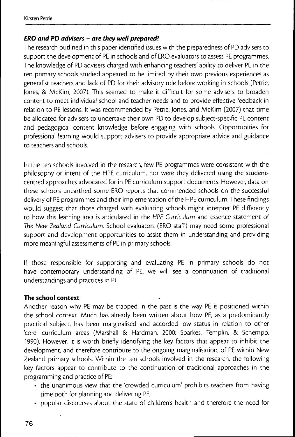#### **ERO and PD advisers - are they well prepared^**

The research outlined in this paper identified issues with the preparedness of PD advisers to support the development of PE in schools and of ERO evaluators to assess PE programmes. The knowledge of PD advisers charged with enhancing teachers' ability to deliver PE in the ten primary schools studied appeared to be limited by their own previous experiences as generalist teachers and lack of PD for their advisory role before working in schools (Pétrie, Jones, & McKim, 2007). This seemed to make it difficult for some advisers to broaden content to meet individual school and teacher needs and to provide effective feedback in relation to PE lessons. It was recommended by Pétrie, Jones, and McKim (2007) that time be allocated for advisers to undertake their own PD to develop subject-specific PE content and pedagogical content knowledge before engaging with schools. Opportunities for professional learning would support advisers to provide appropriate advice and guidance to teachers and schools.

In the ten schools involved in the research, few PE programmes were consistent with the philosophy or intent of the HPE curriculum, nor were they delivered using the studenccentred approaches advocated for in PE curriculum support documents. However, data on these schools unearthed some ERO reports that commended schools on the successful delivery of PE programmes and their implementation of the HPE curriculum. These findings would suggest that those charged with evaluating schools might interpret PE differently to how this learning area is articulated in the HPE Curriculum and essence statement of The New Zealand Curriculum. School evaluacors (ERO staff) may need some professional support and development opportunities to assist them in understanding and providing more meaningful assessments of PE in primary schools.

If those responsible for supporting and evaluating PE in primary schools do not have contemporary understanding of PE, we will see a continuation of traditional understandings and practices in PE.

#### **The school context**

Another reason why PE may be trapped in the past is the way PE is positioned within the school context. Much has already been written about how PE, as a predominantly practical subject, has been marginalised and accorded low status in relation to other 'core' curriculum areas (Marshall & Hardman, 2000; Sparkes, Templin, & Schempp, 1990). However, it is worth briefly identifying the key factors that appear to inhibit the development, and therefore contribute to the ongoing marginalisation, of PE within New Zealand primary schools. Within the ten schools involved in the research, the following key factors appear to contribute to the continuation of traditional approaches in the programming and practice of PE:

- the unanimous view that the 'crowded curriculum' prohibits teachers from having time both for planning and delivering PE;
- popular discourses about the state of children's health and therefore the need for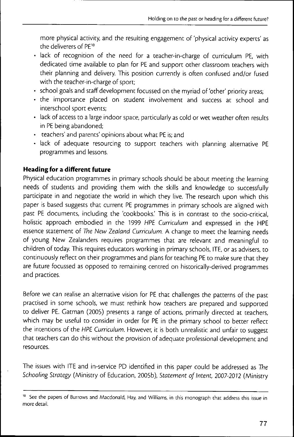more physical activity, and the resulting engagement of 'physical activity experts' as the deliverers of PE<sup>10</sup>

- lack of recognition of the need for a teacher-in-charge of curriculum PE, with dedicated time available to plan for PE and support other classroom teachers with their planning and delivery. This position currently is often confused and/or fused with the teacher-in-charge of sport;
- school goals and staff development focussed on the myriad of'other' priority areas;
- the importance placed on student involvement and success at school and interschool sport events;
- lack of access to a large indoor space, particularly as cold or wet weather often results in PE being abandoned;
- teachers' and parents' opinions about what PE is; and
- lack of adequate resourcing to support teachers with planning alternative PE programmes and lessons.

## **Heading for a different future**

Physical education programmes in primary schools should be about meeting the learning needs of students and providing them with the skills and knowledge to successfully participate in and negotiate the world in which they live. The research upon which this paper is based suggests that current PE programmes in primary schools are aligned with past PE documents, including the 'cookbooks'. This is in contrast to the socio-critical, holistic approach embodied in the 1999 HPE Curriculum and expressed in the HPE essence statement of The New Zealand Curriculum. A change to meet the learning needs of young New Zealanders requires programmes that are relevant and meaningful to children of today This requires educators working in primary schools, ITE, or as advisers, to continuously reflect on their programmes and plans for teaching PE to make sure that they are future focussed as opposed to remaining centred on historically-derived programmes and practices.

Before we can realise an alternative vision for PE that challenges the patterns of the past practised in some schools, we must rethink how teachers are prepared and supported to deliver PE, Catman (2005) presents a range of actions, primarily directed at teachers, which may be useful to consider in order for PE in the primary school to better reflect the intentions of the HPE Curriculum. However, it is both unrealistic and unfair to suggest that teachers can do this without the provision of adequate professional development and resources.

The issues with ITE and in-service PD identified in this paper could be addressed as The Schooling Strategy (Ministry of Education, 2005b), Statement of Intent, 2007-2072 (Ministry

See the papers of Burrows and Macdonald, Hay, and Williams, in this monograph that address this issue in more detail.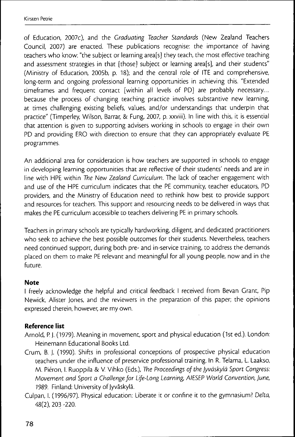of Education, 2007c), and che Graduating Teacher Standards (New Zealand Teachers Council, 2007) are enacted. These publications recognise: the importance of having teachers who know; "the subject or learning area[s] they teach, the most effective teaching and assessment strategies in that [those] subject or learning area[s], and their students" (Ministry of Education, 2005b, p. 18); and the central role of ITE and comprehensive, long-term and ongoing professional learning opportunities in achieving this. "Extended timeframes and frequent contact [within all levels of PD] are probably necessary... because the process of changing teaching practice involves substantive new learning, at times challenging existing beliefs, values, and/or understandings that underpin that practice" (Timperley, Wilson, Barrar, & Fung, 2007, p. xxviii). In line with this, it is essential that attention is given to supporting advisers working in schools to engage in their own PD and providing ERO with direction to ensure that they can appropriately evaluate PE programmes.

An additional area for consideration is how teachers are supported in schools to engage in developing learning opportunities that are reflective of their students' needs and are in line with HPE within The New Zealand Curriculum. The lack of teacher engagement with and use of the HPE curriculum indicates that the PE community, teacher educators, PD providers, and the Ministry of Education need to rethink how best to provide support and resources for teachers. This support and resourcing needs to be delivered in ways that makes the PE curriculum accessible to teachers delivering PE in primary schools.

Teachers in primary schools are typically hardworking, diligent, and dedicated practitioners who seek to achieve the best possible outcomes for their students. Nevertheless, teachers need continued support, during both pre- and in-service training, to address the demands placed on chem to make PE relevant and meaningful for all young people, now and in the future.

#### **Note**

I freely acknowledge the helpful and critical feedback I received from Bevan Grant, Pip Newick, Aliscer Jones, and the reviewers in the preparation of this paper; the opinions expressed therein, however, are my own.

## **Reference list**

- Arnold, P. J. (1979). Meaning in movement, sport and physical education (1st ed.). London: Heinemann Educational Books Ltd.
- Crum, B. J. (1990). Shifts in professional conceptions of prospective physical education teachers under the influence of preservice professional training. In R. Telama, L. Laakso, M. Piéron, I. Ruoppila & V. Vihko (Eds.), The Proceedings of the Jyväskylä Sport Congress: Movement and Sport a Challenge for Life-Long Learning, AIESEP World Convention June, 7989. Finland; University of Jyväskylä.
- Culpan, I. (1996/97). Physical education; Liberate it or confine it to the gymnasium? Delta, 48(2), 203 -220.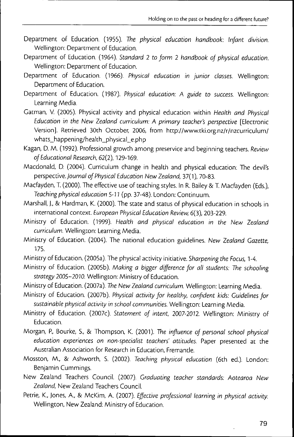- Department of Education. (1955). The physical education handbook: Infant division. Wellington: Department of Education.
- Department of Education. (1964). Standard 2 to form 2 handbook of physical education. Wellington: Department of Education.
- Department of Education. (1966). Physical education in junior classes. Wellington: Department of Education.
- Department of Education. (1987). Physical education: A guide to success. Wellington: Learning Media.
- Gatman, V. (2005). Physical activity and physical education within Health and Physical Education in the New Zealand curriculum: A primary teacher's perspective [Electronic Version]. Retrieved 30th October, 2006, from http://www.tki.org.nz/r/nzcurriculum/ whats\_happening/health\_physical\_e.php
- Kagan, D. M. (1992). Professional growth among preservice and beginning teachers. Review of Educational Research, 62(2), 129-169.
- Macdonald, D. (2004). Curriculum change in health and physical education: The devil's perspective. Journal of Physical Education New Zealand, 37(1), 70-83.
- Macfayden, T. (2000). The effective use of teaching styles. In R. Bailey & T. Macfayden (Eds.), Teaching physical education 5-17 (pp. 37-48). London: Continuum.
- Marshall, J., & Hardman, K. (2000). The state and status of physical education in schools in international context. European Physical Education Review, 6(3), 203-229.
- Ministry of Education. (1999). Health and physical education in the New Zealand curriculum. Wellington: Learning Media.
- Ministry of Education. (2004). The national education guidelines. New Zealand Gazette. 175.
- Ministry of Education. (2005a). The physical activity initiative. Sharpening the Focus, 1-4.
- Ministry of Education. (2005b). Making a bigger difference for all students: The schooling strategy 2005-2010. Wellington: Ministry of Education.
- Ministry of Education. (2007a). The New Zealand curriculum. Wellington: Learning Media.
- Ministry of Education. (2007b). Physical activity for healthy, confident kids: Guidelines for sustainable physical activity in school communities. Wellington: Learning Media.
- Ministry of Education. (2007c). Statement of intent, 2007-2012. Wellington: Ministry of Education.
- Morgan, P., Bourke, S., & Thompson, K. (2001). The influence of personal school physical education experiences on non-specialist teachers' attitudes. Paper presented at the Australian Association for Research in Education, Fremantle.
- Mosston, M., & Ashworth, 5. (2002). Teaching physical education (6th ed.). London: Benjamin Cummings.
- New Zealand Teachers Council. (2007). Graduating teacher standards: Aotearoa New Zealand, New Zealand Teachers Council.
- Petrie, K., Jones, A., & McKim, A. (2007). Effective professional learning in physical activity. Wellington, New Zealand: Ministry of Education.